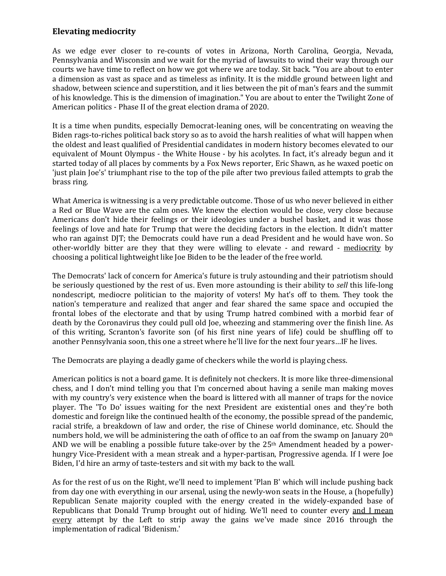## **Elevating mediocrity**

As we edge ever closer to re-counts of votes in Arizona, North Carolina, Georgia, Nevada, Pennsylvania and Wisconsin and we wait for the myriad of lawsuits to wind their way through our courts we have time to reflect on how we got where we are today. Sit back. "You are about to enter a dimension as vast as space and as timeless as infinity. It is the middle ground between light and shadow, between science and superstition, and it lies between the pit of man's fears and the summit of his knowledge. This is the dimension of imagination." You are about to enter the Twilight Zone of American politics - Phase II of the great election drama of 2020.

It is a time when pundits, especially Democrat-leaning ones, will be concentrating on weaving the Biden rags-to-riches political back story so as to avoid the harsh realities of what will happen when the oldest and least qualified of Presidential candidates in modern history becomes elevated to our equivalent of Mount Olympus - the White House - by his acolytes. In fact, it's already begun and it started today of all places by comments by a Fox News reporter, Eric Shawn, as he waxed poetic on 'just plain Joe's' triumphant rise to the top of the pile after two previous failed attempts to grab the brass ring.

What America is witnessing is a very predictable outcome. Those of us who never believed in either a Red or Blue Wave are the calm ones. We knew the election would be close, very close because Americans don't hide their feelings or their ideologies under a bushel basket, and it was those feelings of love and hate for Trump that were the deciding factors in the election. It didn't matter who ran against DJT; the Democrats could have run a dead President and he would have won. So other-worldly bitter are they that they were willing to elevate - and reward - mediocrity by choosing a political lightweight like Joe Biden to be the leader of the free world.

The Democrats' lack of concern for America's future is truly astounding and their patriotism should be seriously questioned by the rest of us. Even more astounding is their ability to *sell* this life-long nondescript, mediocre politician to the majority of voters! My hat's off to them. They took the nation's temperature and realized that anger and fear shared the same space and occupied the frontal lobes of the electorate and that by using Trump hatred combined with a morbid fear of death by the Coronavirus they could pull old Joe, wheezing and stammering over the finish line. As of this writing, Scranton's favorite son (of his first nine years of life) could be shuffling off to another Pennsylvania soon, this one a street where he'll live for the next four years…IF he lives.

The Democrats are playing a deadly game of checkers while the world is playing chess.

American politics is not a board game. It is definitely not checkers. It is more like three-dimensional chess, and I don't mind telling you that I'm concerned about having a senile man making moves with my country's very existence when the board is littered with all manner of traps for the novice player. The 'To Do' issues waiting for the next President are existential ones and they're both domestic and foreign like the continued health of the economy, the possible spread of the pandemic, racial strife, a breakdown of law and order, the rise of Chinese world dominance, etc. Should the numbers hold, we will be administering the oath of office to an oaf from the swamp on January 20th AND we will be enabling a possible future take-over by the  $25<sup>th</sup>$  Amendment headed by a powerhungry Vice-President with a mean streak and a hyper-partisan, Progressive agenda. If I were Joe Biden, I'd hire an army of taste-testers and sit with my back to the wall.

As for the rest of us on the Right, we'll need to implement 'Plan B' which will include pushing back from day one with everything in our arsenal, using the newly-won seats in the House, a (hopefully) Republican Senate majority coupled with the energy created in the widely-expanded base of Republicans that Donald Trump brought out of hiding. We'll need to counter every and I mean every attempt by the Left to strip away the gains we've made since 2016 through the implementation of radical 'Bidenism.'